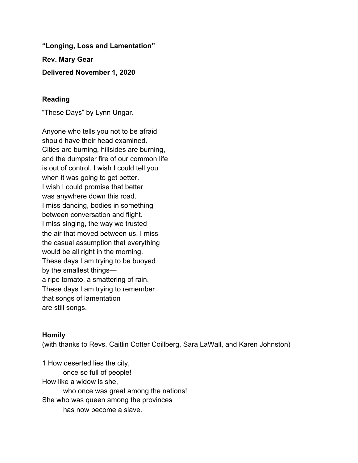**"Longing, Loss and Lamentation" Rev. Mary Gear**

**Delivered November 1, 2020**

## **Reading**

"These Days" by Lynn Ungar.

Anyone who tells you not to be afraid should have their head examined. Cities are burning, hillsides are burning, and the dumpster fire of our common life is out of control. I wish I could tell you when it was going to get better. I wish I could promise that better was anywhere down this road. I miss dancing, bodies in something between conversation and flight. I miss singing, the way we trusted the air that moved between us. I miss the casual assumption that everything would be all right in the morning. These days I am trying to be buoyed by the smallest things a ripe tomato, a smattering of rain. These days I am trying to remember that songs of lamentation are still songs.

## **Homily**

(with thanks to Revs. Caitlin Cotter Coillberg, Sara LaWall, and Karen Johnston)

1 How deserted lies the city, once so full of people! How like a widow is she, who once was great among the nations! She who was queen among the provinces has now become a slave.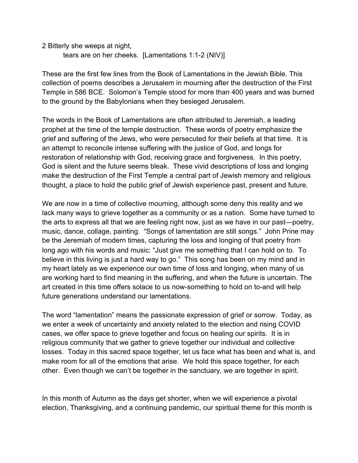2 Bitterly she weeps at night,

tears are on her cheeks. [Lamentations 1:1-2 (NIV)]

These are the first few lines from the Book of Lamentations in the Jewish Bible. This collection of poems describes a Jerusalem in mourning after the destruction of the First Temple in 586 BCE. Solomon's Temple stood for more than 400 years and was burned to the ground by the Babylonians when they besieged Jerusalem.

The words in the Book of Lamentations are often attributed to Jeremiah, a leading prophet at the time of the temple destruction. These words of poetry emphasize the grief and suffering of the Jews, who were persecuted for their beliefs at that time. It is an attempt to reconcile intense suffering with the justice of God, and longs for restoration of relationship with God, receiving grace and forgiveness. In this poetry, God is silent and the future seems bleak. These vivid descriptions of loss and longing make the destruction of the First Temple a central part of Jewish memory and religious thought, a place to hold the public grief of Jewish experience past, present and future.

We are now in a time of collective mourning, although some deny this reality and we lack many ways to grieve together as a community or as a nation. Some have turned to the arts to express all that we are feeling right now, just as we have in our past—poetry, music, dance, collage, painting. "Songs of lamentation are still songs." John Prine may be the Jeremiah of modern times, capturing the loss and longing of that poetry from long ago with his words and music: "Just give me something that I can hold on to. To believe in this living is just a hard way to go." This song has been on my mind and in my heart lately as we experience our own time of loss and longing, when many of us are working hard to find meaning in the suffering, and when the future is uncertain. The art created in this time offers solace to us now-something to hold on to-and will help future generations understand our lamentations.

The word "lamentation" means the passionate expression of grief or sorrow. Today, as we enter a week of uncertainty and anxiety related to the election and rising COVID cases, we offer space to grieve together and focus on healing our spirits. It is in religious community that we gather to grieve together our individual and collective losses. Today in this sacred space together, let us face what has been and what is, and make room for all of the emotions that arise. We hold this space together, for each other. Even though we can't be together in the sanctuary, we are together in spirit.

In this month of Autumn as the days get shorter, when we will experience a pivotal election, Thanksgiving, and a continuing pandemic, our spiritual theme for this month is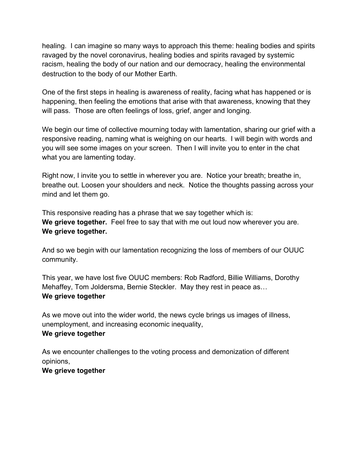healing. I can imagine so many ways to approach this theme: healing bodies and spirits ravaged by the novel coronavirus, healing bodies and spirits ravaged by systemic racism, healing the body of our nation and our democracy, healing the environmental destruction to the body of our Mother Earth.

One of the first steps in healing is awareness of reality, facing what has happened or is happening, then feeling the emotions that arise with that awareness, knowing that they will pass. Those are often feelings of loss, grief, anger and longing.

We begin our time of collective mourning today with lamentation, sharing our grief with a responsive reading, naming what is weighing on our hearts. I will begin with words and you will see some images on your screen. Then I will invite you to enter in the chat what you are lamenting today.

Right now, I invite you to settle in wherever you are. Notice your breath; breathe in, breathe out. Loosen your shoulders and neck. Notice the thoughts passing across your mind and let them go.

This responsive reading has a phrase that we say together which is: **We grieve together.** Feel free to say that with me out loud now wherever you are. **We grieve together.**

And so we begin with our lamentation recognizing the loss of members of our OUUC community.

This year, we have lost five OUUC members: Rob Radford, Billie Williams, Dorothy Mehaffey, Tom Joldersma, Bernie Steckler. May they rest in peace as… **We grieve together**

As we move out into the wider world, the news cycle brings us images of illness, unemployment, and increasing economic inequality, **We grieve together**

As we encounter challenges to the voting process and demonization of different opinions,

**We grieve together**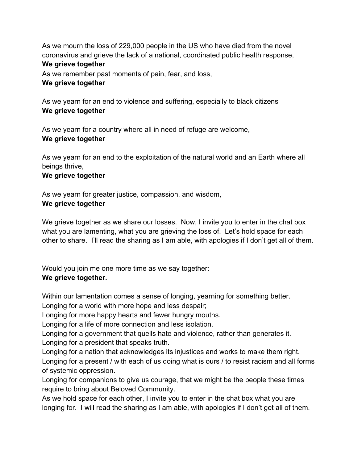As we mourn the loss of 229,000 people in the US who have died from the novel coronavirus and grieve the lack of a national, coordinated public health response, **We grieve together**

As we remember past moments of pain, fear, and loss, **We grieve together**

As we yearn for an end to violence and suffering, especially to black citizens **We grieve together**

As we yearn for a country where all in need of refuge are welcome, **We grieve together**

As we yearn for an end to the exploitation of the natural world and an Earth where all beings thrive,

## **We grieve together**

As we yearn for greater justice, compassion, and wisdom, **We grieve together**

We grieve together as we share our losses. Now, I invite you to enter in the chat box what you are lamenting, what you are grieving the loss of. Let's hold space for each other to share. I'll read the sharing as I am able, with apologies if I don't get all of them.

Would you join me one more time as we say together: **We grieve together.**

Within our lamentation comes a sense of longing, yearning for something better.

Longing for a world with more hope and less despair;

Longing for more happy hearts and fewer hungry mouths.

Longing for a life of more connection and less isolation.

Longing for a government that quells hate and violence, rather than generates it. Longing for a president that speaks truth.

Longing for a nation that acknowledges its injustices and works to make them right. Longing for a present / with each of us doing what is ours / to resist racism and all forms of systemic oppression.

Longing for companions to give us courage, that we might be the people these times require to bring about Beloved Community.

As we hold space for each other, I invite you to enter in the chat box what you are longing for. I will read the sharing as I am able, with apologies if I don't get all of them.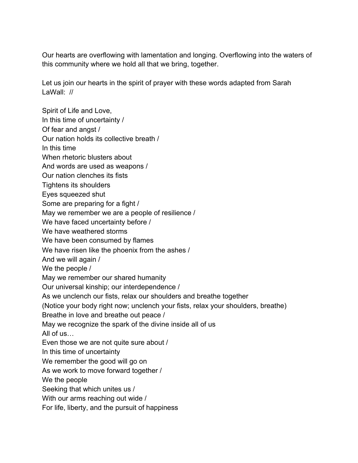Our hearts are overflowing with lamentation and longing. Overflowing into the waters of this community where we hold all that we bring, together.

Let us join our hearts in the spirit of prayer with these words adapted from Sarah LaWall: //

Spirit of Life and Love, In this time of uncertainty / Of fear and angst / Our nation holds its collective breath / In this time When rhetoric blusters about And words are used as weapons / Our nation clenches its fists Tightens its shoulders Eyes squeezed shut Some are preparing for a fight / May we remember we are a people of resilience / We have faced uncertainty before / We have weathered storms We have been consumed by flames We have risen like the phoenix from the ashes / And we will again / We the people / May we remember our shared humanity Our universal kinship; our interdependence / As we unclench our fists, relax our shoulders and breathe together (Notice your body right now; unclench your fists, relax your shoulders, breathe) Breathe in love and breathe out peace / May we recognize the spark of the divine inside all of us All of us… Even those we are not quite sure about / In this time of uncertainty We remember the good will go on As we work to move forward together / We the people Seeking that which unites us / With our arms reaching out wide / For life, liberty, and the pursuit of happiness